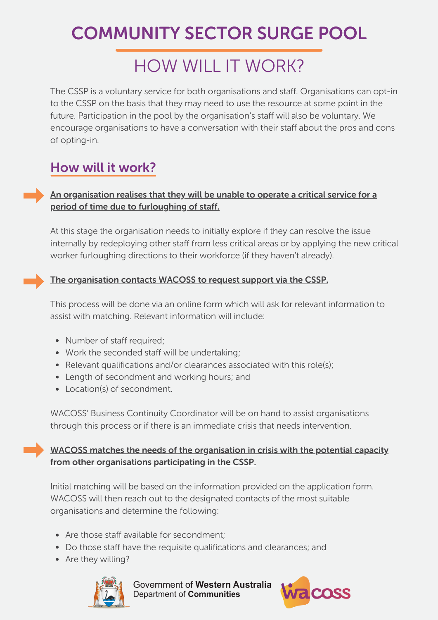# COMMUNITY SECTOR SURGE POOL

## HOW WILL IT WORK?

The CSSP is a voluntary service for both organisations and staff. Organisations can opt-in to the CSSP on the basis that they may need to use the resource at some point in the future. Participation in the pool by the organisation's staff will also be voluntary. We encourage organisations to have a conversation with their staff about the pros and cons of opting-in.

### How will it work?

### An organisation realises that they will be unable to operate a critical service for a period of time due to furloughing of staff.

At this stage the organisation needs to initially explore if they can resolve the issue internally by redeploying other staff from less critical areas or by applying the new critical worker furloughing directions to their workforce (if they haven't already).

### The organisation contacts WACOSS to request support via the CSSP.

This process will be done via an online form which will ask for relevant information to assist with matching. Relevant information will include:

- Number of staff required;
- Work the seconded staff will be undertaking;
- Relevant qualifications and/or clearances associated with this role(s);
- Length of secondment and working hours; and
- Location(s) of secondment.

WACOSS' Business Continuity Coordinator will be on hand to assist organisations through this process or if there is an immediate crisis that needs intervention.

WACOSS matches the needs of the organisation in crisis with the potential capacity from other organisations participating in the CSSP.

Initial matching will be based on the information provided on the application form. WACOSS will then reach out to the designated contacts of the most suitable organisations and determine the following:

- Are those staff available for secondment;
- Do those staff have the requisite qualifications and clearances; and
- Are they willing?



Government of Western Australia Department of Communities